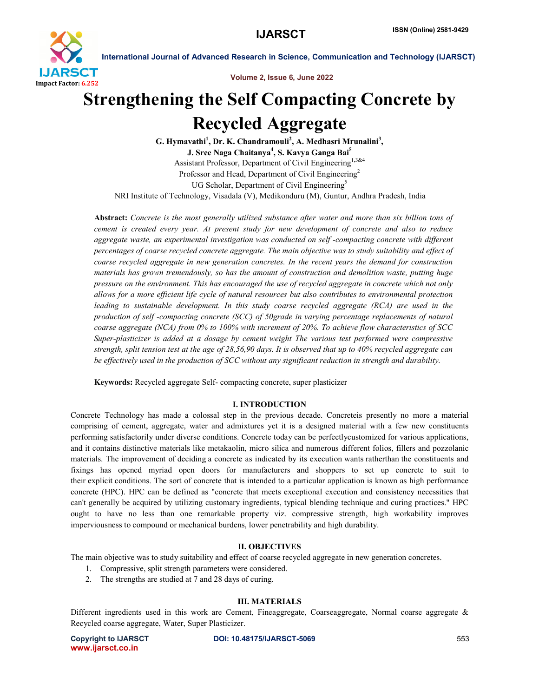

Volume 2, Issue 6, June 2022

# Strengthening the Self Compacting Concrete by Recycled Aggregate

G. Hymavathi<sup>1</sup>, Dr. K. Chandramouli<sup>2</sup>, A. Medhasri Mrunalini<sup>3</sup>, J. Sree Naga Chaitanya<sup>4</sup>, S. Kavya Ganga Bai<sup>5</sup> Assistant Professor, Department of Civil Engineering<sup>1,3&4</sup> Professor and Head, Department of Civil Engineering<sup>2</sup> UG Scholar, Department of Civil Engineering<sup>5</sup> NRI Institute of Technology, Visadala (V), Medikonduru (M), Guntur, Andhra Pradesh, India

Abstract: *Concrete is the most generally utilized substance after water and more than six billion tons of cement is created every year. At present study for new development of concrete and also to reduce aggregate waste, an experimental investigation was conducted on self -compacting concrete with different percentages of coarse recycled concrete aggregate. The main objective was to study suitability and effect of coarse recycled aggregate in new generation concretes. In the recent years the demand for construction materials has grown tremendously, so has the amount of construction and demolition waste, putting huge pressure on the environment. This has encouraged the use of recycled aggregate in concrete which not only allows for a more efficient life cycle of natural resources but also contributes to environmental protection leading to sustainable development. In this study coarse recycled aggregate (RCA) are used in the production of self -compacting concrete (SCC) of 50grade in varying percentage replacements of natural coarse aggregate (NCA) from 0% to 100% with increment of 20%. To achieve flow characteristics of SCC Super-plasticizer is added at a dosage by cement weight The various test performed were compressive strength, split tension test at the age of 28,56,90 days. It is observed that up to 40% recycled aggregate can be effectively used in the production of SCC without any significant reduction in strength and durability.*

Keywords: Recycled aggregate Self- compacting concrete, super plasticizer

# I. INTRODUCTION

Concrete Technology has made a colossal step in the previous decade. Concreteis presently no more a material comprising of cement, aggregate, water and admixtures yet it is a designed material with a few new constituents performing satisfactorily under diverse conditions. Concrete today can be perfectlycustomized for various applications, and it contains distinctive materials like metakaolin, micro silica and numerous different folios, fillers and pozzolanic materials. The improvement of deciding a concrete as indicated by its execution wants ratherthan the constituents and fixings has opened myriad open doors for manufacturers and shoppers to set up concrete to suit to their explicit conditions. The sort of concrete that is intended to a particular application is known as high performance concrete (HPC). HPC can be defined as "concrete that meets exceptional execution and consistency necessities that can't generally be acquired by utilizing customary ingredients, typical blending technique and curing practices." HPC ought to have no less than one remarkable property viz. compressive strength, high workability improves imperviousness to compound or mechanical burdens, lower penetrability and high durability.

# II. OBJECTIVES

The main objective was to study suitability and effect of coarse recycled aggregate in new generation concretes.

- 1. Compressive, split strength parameters were considered.
- 2. The strengths are studied at 7 and 28 days of curing.

# III. MATERIALS

Different ingredients used in this work are Cement, Fineaggregate, Coarseaggregate, Normal coarse aggregate & Recycled coarse aggregate, Water, Super Plasticizer.

www.ijarsct.co.in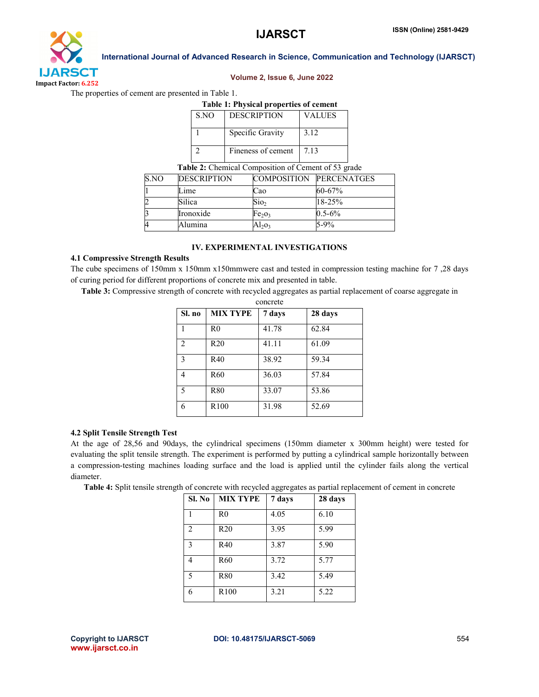

### Volume 2, Issue 6, June 2022

The properties of cement are presented in Table 1.

# Table 1: Physical properties of cement

| S.NO | <b>DESCRIPTION</b> | VALUES |
|------|--------------------|--------|
|      | Specific Gravity   | 3.12   |
|      | Fineness of cement | 713    |

# Table 2: Chemical Composition of Cement of 53 grade

| S.NO | <b>DESCRIPTION</b> |                                | <b>COMPOSITION PERCENATGES</b> |
|------|--------------------|--------------------------------|--------------------------------|
|      | Lime               | Cao                            | $60 - 67\%$                    |
|      | Silica             | $S$ io <sub>2</sub>            | 18-25%                         |
|      | Ironoxide          | Fe <sub>2</sub> O <sub>3</sub> | $0.5 - 6\%$                    |
| 4    | Alumina            | Al203                          | $5-9%$                         |

# IV. EXPERIMENTAL INVESTIGATIONS

# 4.1 Compressive Strength Results

The cube specimens of 150mm x 150mm x150mmwere cast and tested in compression testing machine for 7 ,28 days of curing period for different proportions of concrete mix and presented in table.

Table 3: Compressive strength of concrete with recycled aggregates as partial replacement of coarse aggregate in

| concrete       |                  |        |         |  |  |
|----------------|------------------|--------|---------|--|--|
| Sl. no         | <b>MIX TYPE</b>  | 7 days | 28 days |  |  |
| 1              | R <sub>0</sub>   | 41.78  | 62.84   |  |  |
| $\mathfrak{D}$ | R20              | 41.11  | 61.09   |  |  |
| $\mathbf{3}$   | R40              | 38.92  | 59.34   |  |  |
| 4              | R60              | 36.03  | 57.84   |  |  |
| 5              | <b>R80</b>       | 33.07  | 53.86   |  |  |
| 6              | R <sub>100</sub> | 31.98  | 52.69   |  |  |

# 4.2 Split Tensile Strength Test

At the age of 28,56 and 90days, the cylindrical specimens (150mm diameter x 300mm height) were tested for evaluating the split tensile strength. The experiment is performed by putting a cylindrical sample horizontally between a compression-testing machines loading surface and the load is applied until the cylinder fails along the vertical diameter.

Table 4: Split tensile strength of concrete with recycled aggregates as partial replacement of cement in concrete

| Sl. No         | <b>MIX TYPE</b>  | 7 days | 28 days |
|----------------|------------------|--------|---------|
|                | R <sub>0</sub>   | 4.05   | 6.10    |
| $\overline{2}$ | R20              | 3.95   | 5.99    |
| $\mathbf{3}$   | R40              | 3.87   | 5.90    |
| 4              | R <sub>60</sub>  | 3.72   | 5.77    |
| 5              | <b>R80</b>       | 3.42   | 5.49    |
| 6              | R <sub>100</sub> | 3.21   | 5.22    |

www.ijarsct.co.in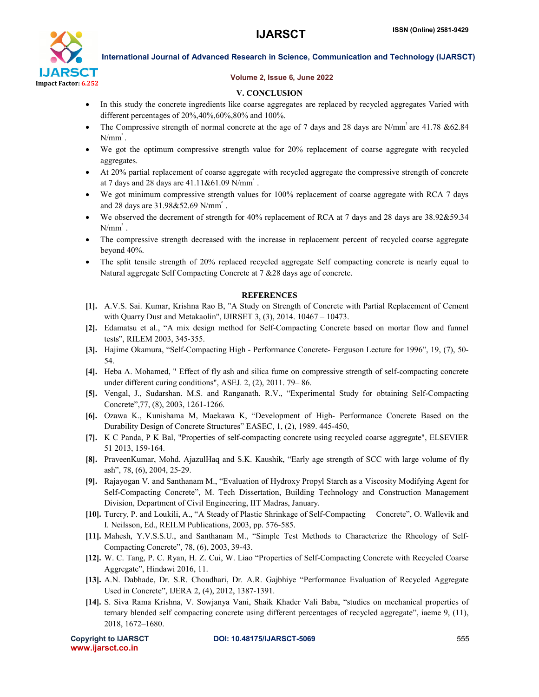

# Volume 2, Issue 6, June 2022

# V. CONCLUSION

- In this study the concrete ingredients like coarse aggregates are replaced by recycled aggregates Varied with different percentages of 20%,40%,60%,80% and 100%.
- The Compressive strength of normal concrete at the age of 7 days and 28 days are N/mm² are 41.78 &62.84  $N/mm^2$ .
- We got the optimum compressive strength value for 20% replacement of coarse aggregate with recycled aggregates.
- At 20% partial replacement of coarse aggregate with recycled aggregate the compressive strength of concrete at 7 days and 28 days are 41.11&61.09 N/mm² .
- We got minimum compressive strength values for 100% replacement of coarse aggregate with RCA 7 days and 28 days are 31.98&52.69 N/mm² .
- We observed the decrement of strength for 40% replacement of RCA at 7 days and 28 days are 38.92&59.34  $N/mm^2$ .
- The compressive strength decreased with the increase in replacement percent of recycled coarse aggregate beyond 40%.
- The split tensile strength of 20% replaced recycled aggregate Self compacting concrete is nearly equal to Natural aggregate Self Compacting Concrete at 7 &28 days age of concrete.

# **REFERENCES**

- [1]. A.V.S. Sai. Kumar, Krishna Rao B, "A Study on Strength of Concrete with Partial Replacement of Cement with Quarry Dust and Metakaolin", IJIRSET 3, (3), 2014. 10467 – 10473.
- [2]. Edamatsu et al., "A mix design method for Self-Compacting Concrete based on mortar flow and funnel tests", RILEM 2003, 345-355.
- [3]. Hajime Okamura, "Self-Compacting High Performance Concrete- Ferguson Lecture for 1996", 19, (7), 50- 54.
- [4]. Heba A. Mohamed, " Effect of fly ash and silica fume on compressive strength of self-compacting concrete under different curing conditions", ASEJ. 2, (2), 2011. 79– 86.
- [5]. Vengal, J., Sudarshan. M.S. and Ranganath. R.V., "Experimental Study for obtaining Self-Compacting Concrete",77, (8), 2003, 1261-1266.
- [6]. Ozawa K., Kunishama M, Maekawa K, "Development of High- Performance Concrete Based on the Durability Design of Concrete Structures" EASEC, 1, (2), 1989. 445-450,
- [7]. K C Panda, P K Bal, "Properties of self-compacting concrete using recycled coarse aggregate", ELSEVIER 51 2013, 159-164.
- [8]. PraveenKumar, Mohd. AjazulHaq and S.K. Kaushik, "Early age strength of SCC with large volume of fly ash", 78, (6), 2004, 25-29.
- [9]. Rajayogan V. and Santhanam M., "Evaluation of Hydroxy Propyl Starch as a Viscosity Modifying Agent for Self-Compacting Concrete", M. Tech Dissertation, Building Technology and Construction Management Division, Department of Civil Engineering, IIT Madras, January.
- [10]. Turcry, P. and Loukili, A., "A Steady of Plastic Shrinkage of Self-Compacting Concrete", O. Wallevik and I. Neilsson, Ed., REILM Publications, 2003, pp. 576-585.
- [11]. Mahesh, Y.V.S.S.U., and Santhanam M., "Simple Test Methods to Characterize the Rheology of Self-Compacting Concrete", 78, (6), 2003, 39-43.
- [12]. W. C. Tang, P. C. Ryan, H. Z. Cui, W. Liao "Properties of Self-Compacting Concrete with Recycled Coarse Aggregate", Hindawi 2016, 11.
- [13]. A.N. Dabhade, Dr. S.R. Choudhari, Dr. A.R. Gajbhiye "Performance Evaluation of Recycled Aggregate Used in Concrete", IJERA 2, (4), 2012, 1387-1391.
- [14]. S. Siva Rama Krishna, V. Sowjanya Vani, Shaik Khader Vali Baba, "studies on mechanical properties of ternary blended self compacting concrete using different percentages of recycled aggregate", iaeme 9, (11), 2018, 1672–1680.